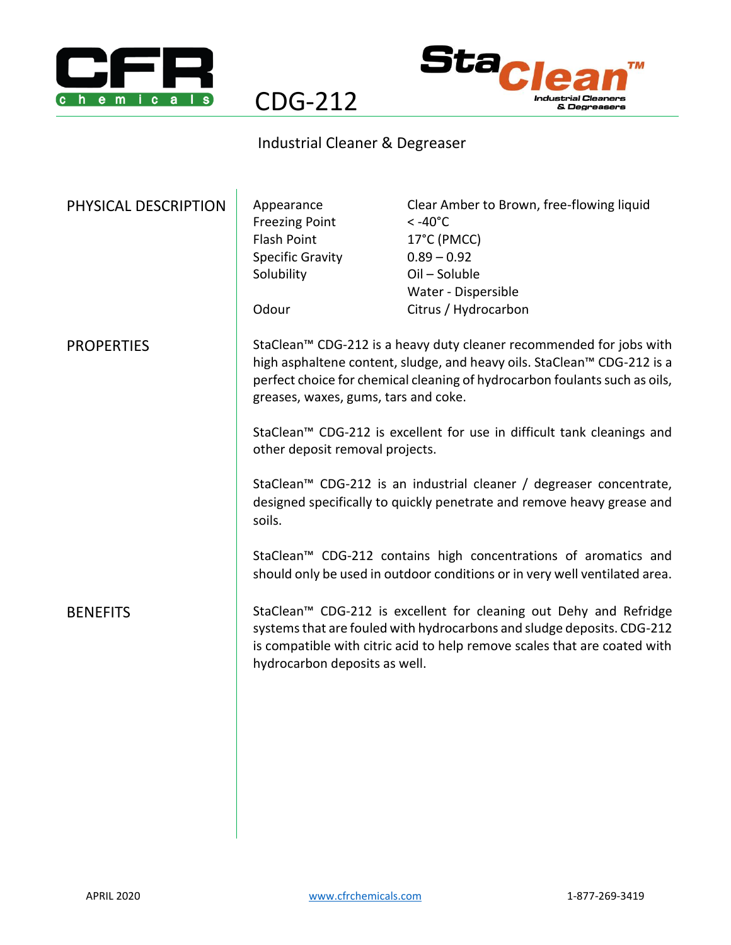



## Industrial Cleaner & Degreaser

CDG-212

| Appearance<br><b>Freezing Point</b><br>Flash Point<br><b>Specific Gravity</b><br>Solubility<br>Odour                                                                                                                                                                 | Clear Amber to Brown, free-flowing liquid<br>$< -40^{\circ}$ C<br>17°C (PMCC)<br>$0.89 - 0.92$<br>Oil - Soluble<br>Water - Dispersible<br>Citrus / Hydrocarbon                                                           |
|----------------------------------------------------------------------------------------------------------------------------------------------------------------------------------------------------------------------------------------------------------------------|--------------------------------------------------------------------------------------------------------------------------------------------------------------------------------------------------------------------------|
| StaClean™ CDG-212 is a heavy duty cleaner recommended for jobs with<br>high asphaltene content, sludge, and heavy oils. StaClean™ CDG-212 is a<br>perfect choice for chemical cleaning of hydrocarbon foulants such as oils,<br>greases, waxes, gums, tars and coke. |                                                                                                                                                                                                                          |
| StaClean™ CDG-212 is excellent for use in difficult tank cleanings and<br>other deposit removal projects.                                                                                                                                                            |                                                                                                                                                                                                                          |
| StaClean™ CDG-212 is an industrial cleaner / degreaser concentrate,<br>designed specifically to quickly penetrate and remove heavy grease and<br>soils.                                                                                                              |                                                                                                                                                                                                                          |
| StaClean™ CDG-212 contains high concentrations of aromatics and<br>should only be used in outdoor conditions or in very well ventilated area.                                                                                                                        |                                                                                                                                                                                                                          |
| hydrocarbon deposits as well.                                                                                                                                                                                                                                        | StaClean™ CDG-212 is excellent for cleaning out Dehy and Refridge<br>systems that are fouled with hydrocarbons and sludge deposits. CDG-212<br>is compatible with citric acid to help remove scales that are coated with |
|                                                                                                                                                                                                                                                                      |                                                                                                                                                                                                                          |
|                                                                                                                                                                                                                                                                      |                                                                                                                                                                                                                          |